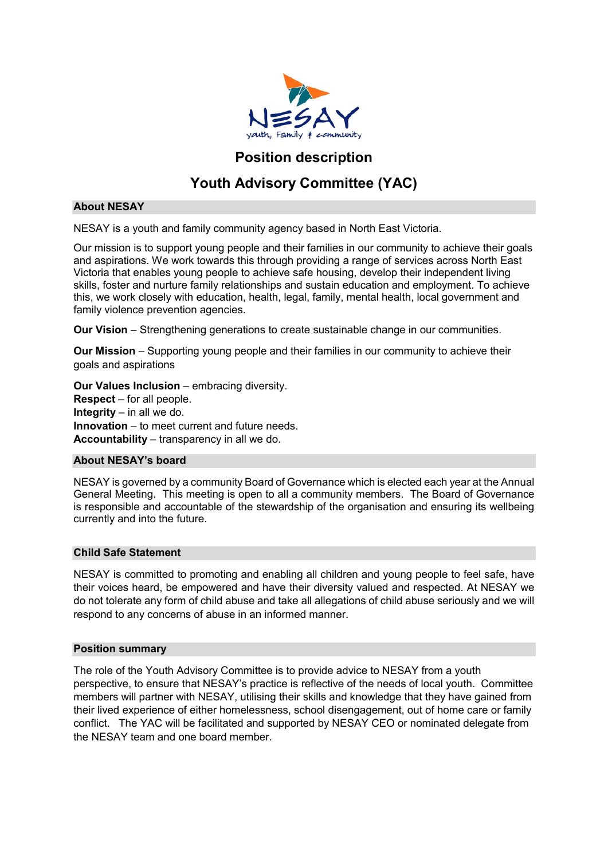

# **Position description**

# **Youth Advisory Committee (YAC)**

#### **About NESAY**

NESAY is a youth and family community agency based in North East Victoria.

Our mission is to support young people and their families in our community to achieve their goals and aspirations. We work towards this through providing a range of services across North East Victoria that enables young people to achieve safe housing, develop their independent living skills, foster and nurture family relationships and sustain education and employment. To achieve this, we work closely with education, health, legal, family, mental health, local government and family violence prevention agencies.

**Our Vision** – Strengthening generations to create sustainable change in our communities.

**Our Mission** – Supporting young people and their families in our community to achieve their goals and aspirations

**Our Values Inclusion** – embracing diversity. **Respect** – for all people. **Integrity** – in all we do. **Innovation** – to meet current and future needs. **Accountability** – transparency in all we do.

#### **About NESAY's board**

NESAY is governed by a community Board of Governance which is elected each year at the Annual General Meeting. This meeting is open to all a community members. The Board of Governance is responsible and accountable of the stewardship of the organisation and ensuring its wellbeing currently and into the future.

#### **Child Safe Statement**

NESAY is committed to promoting and enabling all children and young people to feel safe, have their voices heard, be empowered and have their diversity valued and respected. At NESAY we do not tolerate any form of child abuse and take all allegations of child abuse seriously and we will respond to any concerns of abuse in an informed manner.

#### **Position summary**

The role of the Youth Advisory Committee is to provide advice to NESAY from a youth perspective, to ensure that NESAY's practice is reflective of the needs of local youth. Committee members will partner with NESAY, utilising their skills and knowledge that they have gained from their lived experience of either homelessness, school disengagement, out of home care or family conflict. The YAC will be facilitated and supported by NESAY CEO or nominated delegate from the NESAY team and one board member.